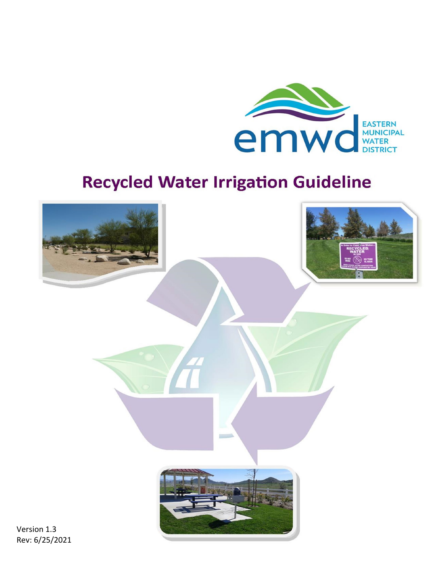

# **Recycled Water Irrigation Guideline**



Version 1.3 Rev: 6/25/2021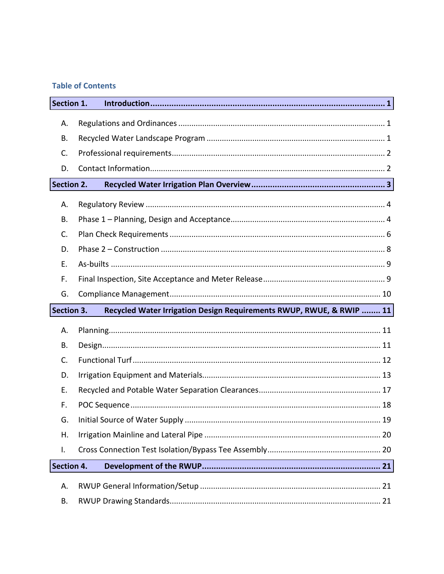# **Table of Contents**

| Section 1.                                                                         |  |  |  |  |  |
|------------------------------------------------------------------------------------|--|--|--|--|--|
| Α.                                                                                 |  |  |  |  |  |
| Β.                                                                                 |  |  |  |  |  |
| C.                                                                                 |  |  |  |  |  |
| D.                                                                                 |  |  |  |  |  |
| <b>Section 2.</b>                                                                  |  |  |  |  |  |
| А.                                                                                 |  |  |  |  |  |
| Β.                                                                                 |  |  |  |  |  |
| C.                                                                                 |  |  |  |  |  |
| D.                                                                                 |  |  |  |  |  |
| Ε.                                                                                 |  |  |  |  |  |
| F.                                                                                 |  |  |  |  |  |
| G.                                                                                 |  |  |  |  |  |
| Section 3.<br>Recycled Water Irrigation Design Requirements RWUP, RWUE, & RWIP  11 |  |  |  |  |  |
| А.                                                                                 |  |  |  |  |  |
| Β.                                                                                 |  |  |  |  |  |
| C.                                                                                 |  |  |  |  |  |
| D.                                                                                 |  |  |  |  |  |
| Ε.                                                                                 |  |  |  |  |  |
| F.                                                                                 |  |  |  |  |  |
| G.                                                                                 |  |  |  |  |  |
|                                                                                    |  |  |  |  |  |
| Η.                                                                                 |  |  |  |  |  |
| I.                                                                                 |  |  |  |  |  |
| Section 4.                                                                         |  |  |  |  |  |
| А.                                                                                 |  |  |  |  |  |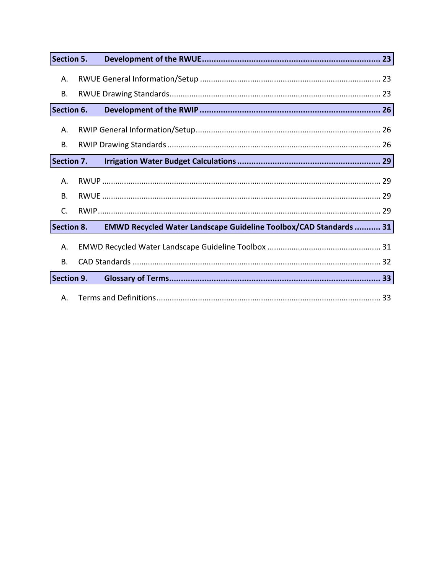| Section 5. |  |                                                                          |  |
|------------|--|--------------------------------------------------------------------------|--|
| Α.         |  |                                                                          |  |
| В.         |  |                                                                          |  |
| Section 6. |  |                                                                          |  |
| Α.         |  |                                                                          |  |
| В.         |  |                                                                          |  |
| Section 7. |  |                                                                          |  |
| А.         |  |                                                                          |  |
| <b>B.</b>  |  |                                                                          |  |
| C.         |  |                                                                          |  |
| Section 8. |  | <b>EMWD Recycled Water Landscape Guideline Toolbox/CAD Standards  31</b> |  |
| Α.         |  |                                                                          |  |
| <b>B.</b>  |  |                                                                          |  |
| Section 9. |  |                                                                          |  |
| А.         |  |                                                                          |  |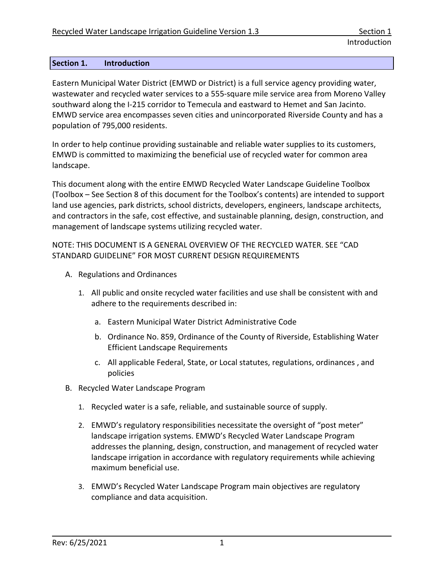## <span id="page-3-0"></span>**Section 1. Introduction**

Eastern Municipal Water District (EMWD or District) is a full service agency providing water, wastewater and recycled water services to a 555-square mile service area from Moreno Valley southward along the I-215 corridor to Temecula and eastward to Hemet and San Jacinto. EMWD service area encompasses seven cities and unincorporated Riverside County and has a population of 795,000 residents.

In order to help continue providing sustainable and reliable water supplies to its customers, EMWD is committed to maximizing the beneficial use of recycled water for common area landscape.

This document along with the entire EMWD Recycled Water Landscape Guideline Toolbox (Toolbox – See Section 8 of this document for the Toolbox's contents) are intended to support land use agencies, park districts, school districts, developers, engineers, landscape architects, and contractors in the safe, cost effective, and sustainable planning, design, construction, and management of landscape systems utilizing recycled water.

NOTE: THIS DOCUMENT IS A GENERAL OVERVIEW OF THE RECYCLED WATER. SEE "CAD STANDARD GUIDELINE" FOR MOST CURRENT DESIGN REQUIREMENTS

- <span id="page-3-1"></span>A. Regulations and Ordinances
	- 1. All public and onsite recycled water facilities and use shall be consistent with and adhere to the requirements described in:
		- a. Eastern Municipal Water District Administrative Code
		- b. Ordinance No. 859, Ordinance of the County of Riverside, Establishing Water Efficient Landscape Requirements
		- c. All applicable Federal, State, or Local statutes, regulations, ordinances , and policies
- <span id="page-3-2"></span>B. Recycled Water Landscape Program
	- 1. Recycled water is a safe, reliable, and sustainable source of supply.
	- 2. EMWD's regulatory responsibilities necessitate the oversight of "post meter" landscape irrigation systems. EMWD's Recycled Water Landscape Program addresses the planning, design, construction, and management of recycled water landscape irrigation in accordance with regulatory requirements while achieving maximum beneficial use.
	- 3. EMWD's Recycled Water Landscape Program main objectives are regulatory compliance and data acquisition.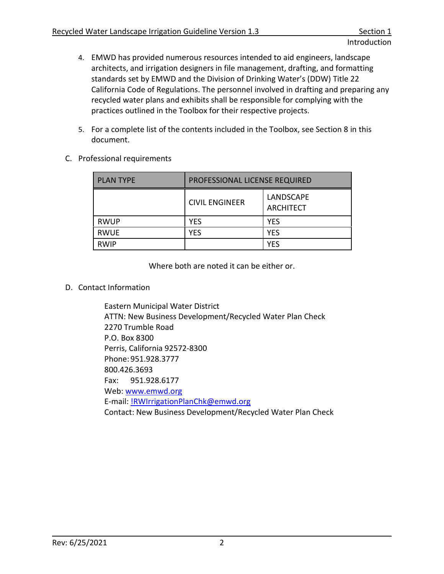- 4. EMWD has provided numerous resources intended to aid engineers, landscape architects, and irrigation designers in file management, drafting, and formatting standards set by EMWD and the Division of Drinking Water's (DDW) Title 22 California Code of Regulations. The personnel involved in drafting and preparing any recycled water plans and exhibits shall be responsible for complying with the practices outlined in the Toolbox for their respective projects.
- 5. For a complete list of the contents included in the Toolbox, see Section 8 in this document.
- <span id="page-4-0"></span>C. Professional requirements

| <b>PLAN TYPE</b> | PROFESSIONAL LICENSE REQUIRED |                               |  |
|------------------|-------------------------------|-------------------------------|--|
|                  | <b>CIVIL ENGINEER</b>         | LANDSCAPE<br><b>ARCHITECT</b> |  |
| <b>RWUP</b>      | <b>YES</b>                    | <b>YES</b>                    |  |
| <b>RWUE</b>      | <b>YES</b>                    | <b>YES</b>                    |  |
| <b>RWIP</b>      |                               | YES                           |  |

Where both are noted it can be either or.

<span id="page-4-1"></span>D. Contact Information

Eastern Municipal Water District ATTN: New Business Development/Recycled Water Plan Check 2270 Trumble Road P.O. Box 8300 Perris, California 92572-8300 Phone: 951.928.3777 800.426.3693 Fax: 951.928.6177 Web: www.emwd.org E-mail: [!RWIrrigationPlanChk@emwd.org](mailto:!RWIrrigationPlanChk@emwd.org) Contact: New Business Development/Recycled Water Plan Check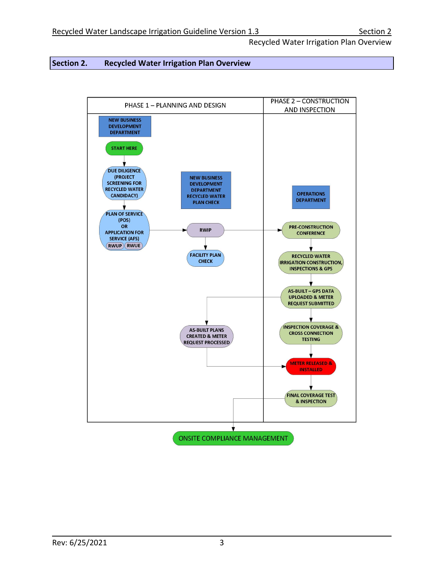## <span id="page-5-0"></span>**Section 2. Recycled Water Irrigation Plan Overview**

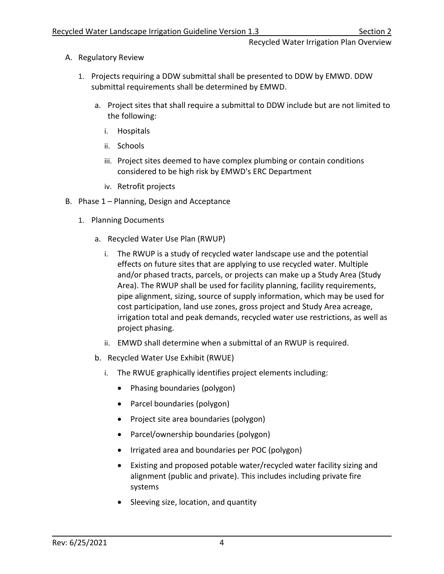- <span id="page-6-0"></span>A. Regulatory Review
	- 1. Projects requiring a DDW submittal shall be presented to DDW by EMWD. DDW submittal requirements shall be determined by EMWD.
		- a. Project sites that shall require a submittal to DDW include but are not limited to the following:
			- i. Hospitals
			- ii. Schools
			- iii. Project sites deemed to have complex plumbing or contain conditions considered to be high risk by EMWD's ERC Department
			- iv. Retrofit projects
- <span id="page-6-1"></span>B. Phase 1 – Planning, Design and Acceptance
	- 1. Planning Documents
		- a. Recycled Water Use Plan (RWUP)
			- i. The RWUP is a study of recycled water landscape use and the potential effects on future sites that are applying to use recycled water. Multiple and/or phased tracts, parcels, or projects can make up a Study Area (Study Area). The RWUP shall be used for facility planning, facility requirements, pipe alignment, sizing, source of supply information, which may be used for cost participation, land use zones, gross project and Study Area acreage, irrigation total and peak demands, recycled water use restrictions, as well as project phasing.
			- ii. EMWD shall determine when a submittal of an RWUP is required.
		- b. Recycled Water Use Exhibit (RWUE)
			- i. The RWUE graphically identifies project elements including:
				- Phasing boundaries (polygon)
				- Parcel boundaries (polygon)
				- Project site area boundaries (polygon)
				- Parcel/ownership boundaries (polygon)
				- Irrigated area and boundaries per POC (polygon)
				- Existing and proposed potable water/recycled water facility sizing and alignment (public and private). This includes including private fire systems
				- Sleeving size, location, and quantity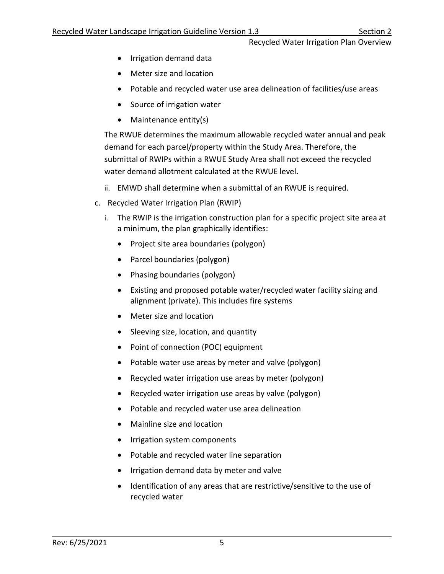- Irrigation demand data
- Meter size and location
- Potable and recycled water use area delineation of facilities/use areas
- Source of irrigation water
- Maintenance entity(s)

The RWUE determines the maximum allowable recycled water annual and peak demand for each parcel/property within the Study Area. Therefore, the submittal of RWIPs within a RWUE Study Area shall not exceed the recycled water demand allotment calculated at the RWUE level.

- ii. EMWD shall determine when a submittal of an RWUE is required.
- c. Recycled Water Irrigation Plan (RWIP)
	- i. The RWIP is the irrigation construction plan for a specific project site area at a minimum, the plan graphically identifies:
		- Project site area boundaries (polygon)
		- Parcel boundaries (polygon)
		- Phasing boundaries (polygon)
		- Existing and proposed potable water/recycled water facility sizing and alignment (private). This includes fire systems
		- Meter size and location
		- Sleeving size, location, and quantity
		- Point of connection (POC) equipment
		- Potable water use areas by meter and valve (polygon)
		- Recycled water irrigation use areas by meter (polygon)
		- Recycled water irrigation use areas by valve (polygon)
		- Potable and recycled water use area delineation
		- Mainline size and location
		- Irrigation system components
		- Potable and recycled water line separation
		- Irrigation demand data by meter and valve
		- Identification of any areas that are restrictive/sensitive to the use of recycled water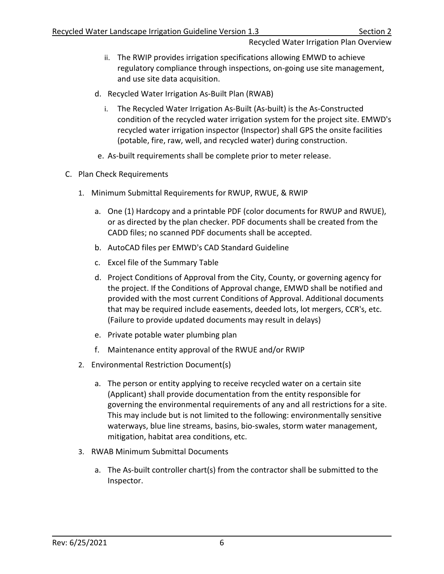- ii. The RWIP provides irrigation specifications allowing EMWD to achieve regulatory compliance through inspections, on-going use site management, and use site data acquisition.
- d. Recycled Water Irrigation As-Built Plan (RWAB)
	- i. The Recycled Water Irrigation As-Built (As-built) is the As-Constructed condition of the recycled water irrigation system for the project site. EMWD's recycled water irrigation inspector (Inspector) shall GPS the onsite facilities (potable, fire, raw, well, and recycled water) during construction.
- e. As-built requirements shall be complete prior to meter release.
- <span id="page-8-0"></span>C. Plan Check Requirements
	- 1. Minimum Submittal Requirements for RWUP, RWUE, & RWIP
		- a. One (1) Hardcopy and a printable PDF (color documents for RWUP and RWUE), or as directed by the plan checker. PDF documents shall be created from the CADD files; no scanned PDF documents shall be accepted.
		- b. AutoCAD files per EMWD's CAD Standard Guideline
		- c. Excel file of the Summary Table
		- d. Project Conditions of Approval from the City, County, or governing agency for the project. If the Conditions of Approval change, EMWD shall be notified and provided with the most current Conditions of Approval. Additional documents that may be required include easements, deeded lots, lot mergers, CCR's, etc. (Failure to provide updated documents may result in delays)
		- e. Private potable water plumbing plan
		- f. Maintenance entity approval of the RWUE and/or RWIP
	- 2. Environmental Restriction Document(s)
		- a. The person or entity applying to receive recycled water on a certain site (Applicant) shall provide documentation from the entity responsible for governing the environmental requirements of any and all restrictions for a site. This may include but is not limited to the following: environmentally sensitive waterways, blue line streams, basins, bio-swales, storm water management, mitigation, habitat area conditions, etc.
	- 3. RWAB Minimum Submittal Documents
		- a. The As-built controller chart(s) from the contractor shall be submitted to the Inspector.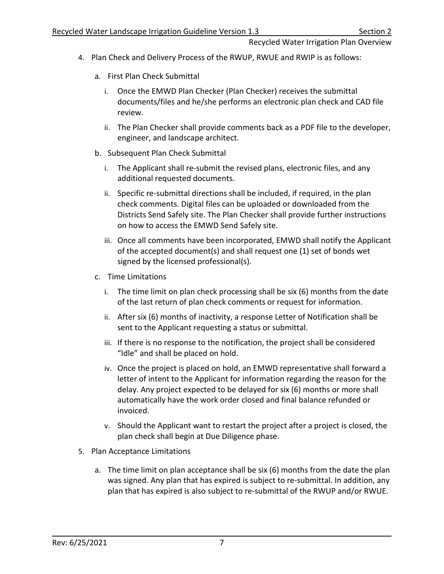- 4. Plan Check and Delivery Process of the RWUP, RWUE and RWIP is as follows:
	- a. First Plan Check Submittal
		- i. Once the EMWD Plan Checker (Plan Checker) receives the submittal documents/files and he/she performs an electronic plan check and CAD file review.
		- ii. The Plan Checker shall provide comments back as a PDF file to the developer, engineer, and landscape architect.
	- b. Subsequent Plan Check Submittal
		- i. The Applicant shall re-submit the revised plans, electronic files, and any additional requested documents.
		- ii. Specific re-submittal directions shall be included, if required, in the plan check comments. Digital files can be uploaded or downloaded from the Districts Send Safely site. The Plan Checker shall provide further instructions on how to access the EMWD Send Safely site.
		- iii. Once all comments have been incorporated, EMWD shall notify the Applicant of the accepted document(s) and shall request one (1) set of bonds wet signed by the licensed professional(s).
	- c. Time Limitations
		- i. The time limit on plan check processing shall be six (6) months from the date of the last return of plan check comments or request for information.
		- ii. After six (6) months of inactivity, a response Letter of Notification shall be sent to the Applicant requesting a status or submittal.
		- iii. If there is no response to the notification, the project shall be considered "Idle" and shall be placed on hold.
		- iv. Once the project is placed on hold, an EMWD representative shall forward a letter of intent to the Applicant for information regarding the reason for the delay. Any project expected to be delayed for six (6) months or more shall automatically have the work order closed and final balance refunded or invoiced.
		- v. Should the Applicant want to restart the project after a project is closed, the plan check shall begin at Due Diligence phase.
- 5. Plan Acceptance Limitations
	- a. The time limit on plan acceptance shall be six (6) months from the date the plan was signed. Any plan that has expired is subject to re-submittal. In addition, any plan that has expired is also subject to re-submittal of the RWUP and/or RWUE.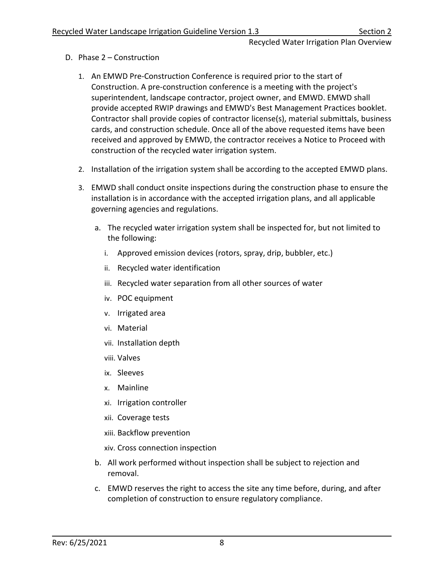- <span id="page-10-0"></span>D. Phase 2 – Construction
	- 1. An EMWD Pre-Construction Conference is required prior to the start of Construction. A pre-construction conference is a meeting with the project's superintendent, landscape contractor, project owner, and EMWD. EMWD shall provide accepted RWIP drawings and EMWD's Best Management Practices booklet. Contractor shall provide copies of contractor license(s), material submittals, business cards, and construction schedule. Once all of the above requested items have been received and approved by EMWD, the contractor receives a Notice to Proceed with construction of the recycled water irrigation system.
	- 2. Installation of the irrigation system shall be according to the accepted EMWD plans.
	- 3. EMWD shall conduct onsite inspections during the construction phase to ensure the installation is in accordance with the accepted irrigation plans, and all applicable governing agencies and regulations.
		- a. The recycled water irrigation system shall be inspected for, but not limited to the following:
			- i. Approved emission devices (rotors, spray, drip, bubbler, etc.)
			- ii. Recycled water identification
			- iii. Recycled water separation from all other sources of water
			- iv. POC equipment
			- v. Irrigated area
			- vi. Material
			- vii. Installation depth
			- viii. Valves
			- ix. Sleeves
			- x. Mainline
			- xi. Irrigation controller
			- xii. Coverage tests
			- xiii. Backflow prevention
			- xiv. Cross connection inspection
		- b. All work performed without inspection shall be subject to rejection and removal.
		- c. EMWD reserves the right to access the site any time before, during, and after completion of construction to ensure regulatory compliance.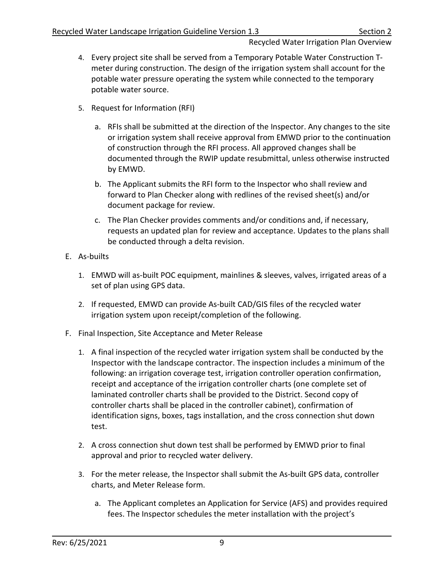- 4. Every project site shall be served from a Temporary Potable Water Construction Tmeter during construction. The design of the irrigation system shall account for the potable water pressure operating the system while connected to the temporary potable water source.
- 5. Request for Information (RFI)
	- a. RFIs shall be submitted at the direction of the Inspector. Any changes to the site or irrigation system shall receive approval from EMWD prior to the continuation of construction through the RFI process. All approved changes shall be documented through the RWIP update resubmittal, unless otherwise instructed by EMWD.
	- b. The Applicant submits the RFI form to the Inspector who shall review and forward to Plan Checker along with redlines of the revised sheet(s) and/or document package for review.
	- c. The Plan Checker provides comments and/or conditions and, if necessary, requests an updated plan for review and acceptance. Updates to the plans shall be conducted through a delta revision.
- <span id="page-11-0"></span>E. As-builts
	- 1. EMWD will as-built POC equipment, mainlines & sleeves, valves, irrigated areas of a set of plan using GPS data.
	- 2. If requested, EMWD can provide As-built CAD/GIS files of the recycled water irrigation system upon receipt/completion of the following.
- <span id="page-11-1"></span>F. Final Inspection, Site Acceptance and Meter Release
	- 1. A final inspection of the recycled water irrigation system shall be conducted by the Inspector with the landscape contractor. The inspection includes a minimum of the following: an irrigation coverage test, irrigation controller operation confirmation, receipt and acceptance of the irrigation controller charts (one complete set of laminated controller charts shall be provided to the District. Second copy of controller charts shall be placed in the controller cabinet), confirmation of identification signs, boxes, tags installation, and the cross connection shut down test.
	- 2. A cross connection shut down test shall be performed by EMWD prior to final approval and prior to recycled water delivery.
	- 3. For the meter release, the Inspector shall submit the As-built GPS data, controller charts, and Meter Release form.
		- a. The Applicant completes an Application for Service (AFS) and provides required fees. The Inspector schedules the meter installation with the project's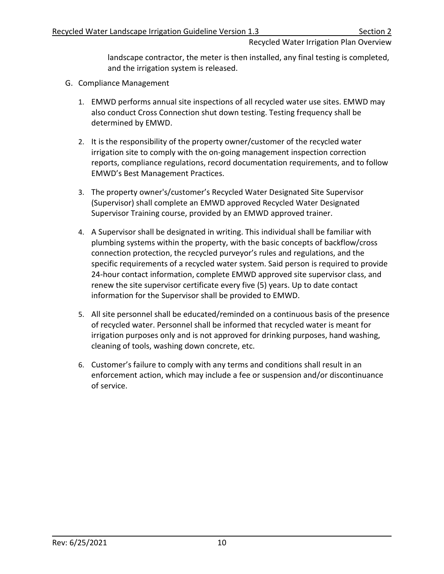landscape contractor, the meter is then installed, any final testing is completed, and the irrigation system is released.

- <span id="page-12-0"></span>G. Compliance Management
	- 1. EMWD performs annual site inspections of all recycled water use sites. EMWD may also conduct Cross Connection shut down testing. Testing frequency shall be determined by EMWD.
	- 2. It is the responsibility of the property owner/customer of the recycled water irrigation site to comply with the on-going management inspection correction reports, compliance regulations, record documentation requirements, and to follow EMWD's Best Management Practices.
	- 3. The property owner's/customer's Recycled Water Designated Site Supervisor (Supervisor) shall complete an EMWD approved Recycled Water Designated Supervisor Training course, provided by an EMWD approved trainer.
	- 4. A Supervisor shall be designated in writing. This individual shall be familiar with plumbing systems within the property, with the basic concepts of backflow/cross connection protection, the recycled purveyor's rules and regulations, and the specific requirements of a recycled water system. Said person is required to provide 24-hour contact information, complete EMWD approved site supervisor class, and renew the site supervisor certificate every five (5) years. Up to date contact information for the Supervisor shall be provided to EMWD.
	- 5. All site personnel shall be educated/reminded on a continuous basis of the presence of recycled water. Personnel shall be informed that recycled water is meant for irrigation purposes only and is not approved for drinking purposes, hand washing, cleaning of tools, washing down concrete, etc.
	- 6. Customer's failure to comply with any terms and conditions shall result in an enforcement action, which may include a fee or suspension and/or discontinuance of service.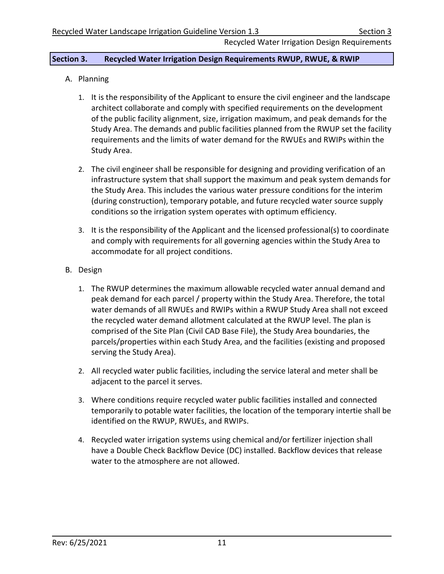## <span id="page-13-0"></span>**Section 3. Recycled Water Irrigation Design Requirements RWUP, RWUE, & RWIP**

- <span id="page-13-1"></span>A. Planning
	- 1. It is the responsibility of the Applicant to ensure the civil engineer and the landscape architect collaborate and comply with specified requirements on the development of the public facility alignment, size, irrigation maximum, and peak demands for the Study Area. The demands and public facilities planned from the RWUP set the facility requirements and the limits of water demand for the RWUEs and RWIPs within the Study Area.
	- 2. The civil engineer shall be responsible for designing and providing verification of an infrastructure system that shall support the maximum and peak system demands for the Study Area. This includes the various water pressure conditions for the interim (during construction), temporary potable, and future recycled water source supply conditions so the irrigation system operates with optimum efficiency.
	- 3. It is the responsibility of the Applicant and the licensed professional(s) to coordinate and comply with requirements for all governing agencies within the Study Area to accommodate for all project conditions.
- <span id="page-13-2"></span>B. Design
	- 1. The RWUP determines the maximum allowable recycled water annual demand and peak demand for each parcel / property within the Study Area. Therefore, the total water demands of all RWUEs and RWIPs within a RWUP Study Area shall not exceed the recycled water demand allotment calculated at the RWUP level. The plan is comprised of the Site Plan (Civil CAD Base File), the Study Area boundaries, the parcels/properties within each Study Area, and the facilities (existing and proposed serving the Study Area).
	- 2. All recycled water public facilities, including the service lateral and meter shall be adjacent to the parcel it serves.
	- 3. Where conditions require recycled water public facilities installed and connected temporarily to potable water facilities, the location of the temporary intertie shall be identified on the RWUP, RWUEs, and RWIPs.
	- 4. Recycled water irrigation systems using chemical and/or fertilizer injection shall have a Double Check Backflow Device (DC) installed. Backflow devices that release water to the atmosphere are not allowed.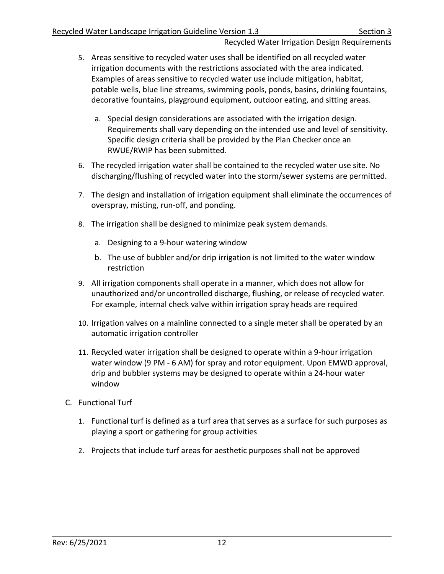- 5. Areas sensitive to recycled water uses shall be identified on all recycled water irrigation documents with the restrictions associated with the area indicated. Examples of areas sensitive to recycled water use include mitigation, habitat, potable wells, blue line streams, swimming pools, ponds, basins, drinking fountains, decorative fountains, playground equipment, outdoor eating, and sitting areas.
	- a. Special design considerations are associated with the irrigation design. Requirements shall vary depending on the intended use and level of sensitivity. Specific design criteria shall be provided by the Plan Checker once an RWUE/RWIP has been submitted.
- 6. The recycled irrigation water shall be contained to the recycled water use site. No discharging/flushing of recycled water into the storm/sewer systems are permitted.
- 7. The design and installation of irrigation equipment shall eliminate the occurrences of overspray, misting, run-off, and ponding.
- 8. The irrigation shall be designed to minimize peak system demands.
	- a. Designing to a 9-hour watering window
	- b. The use of bubbler and/or drip irrigation is not limited to the water window restriction
- 9. All irrigation components shall operate in a manner, which does not allow for unauthorized and/or uncontrolled discharge, flushing, or release of recycled water. For example, internal check valve within irrigation spray heads are required
- 10. Irrigation valves on a mainline connected to a single meter shall be operated by an automatic irrigation controller
- 11. Recycled water irrigation shall be designed to operate within a 9-hour irrigation water window (9 PM - 6 AM) for spray and rotor equipment. Upon EMWD approval, drip and bubbler systems may be designed to operate within a 24-hour water window
- <span id="page-14-0"></span>C. Functional Turf
	- 1. Functional turf is defined as a turf area that serves as a surface for such purposes as playing a sport or gathering for group activities
	- 2. Projects that include turf areas for aesthetic purposes shall not be approved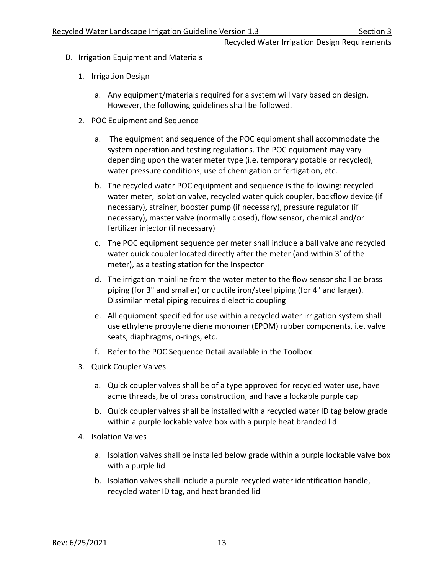- <span id="page-15-0"></span>D. Irrigation Equipment and Materials
	- 1. Irrigation Design
		- a. Any equipment/materials required for a system will vary based on design. However, the following guidelines shall be followed.
	- 2. POC Equipment and Sequence
		- a. The equipment and sequence of the POC equipment shall accommodate the system operation and testing regulations. The POC equipment may vary depending upon the water meter type (i.e. temporary potable or recycled), water pressure conditions, use of chemigation or fertigation, etc.
		- b. The recycled water POC equipment and sequence is the following: recycled water meter, isolation valve, recycled water quick coupler, backflow device (if necessary), strainer, booster pump (if necessary), pressure regulator (if necessary), master valve (normally closed), flow sensor, chemical and/or fertilizer injector (if necessary)
		- c. The POC equipment sequence per meter shall include a ball valve and recycled water quick coupler located directly after the meter (and within 3' of the meter), as a testing station for the Inspector
		- d. The irrigation mainline from the water meter to the flow sensor shall be brass piping (for 3" and smaller) or ductile iron/steel piping (for 4" and larger). Dissimilar metal piping requires dielectric coupling
		- e. All equipment specified for use within a recycled water irrigation system shall use ethylene propylene diene monomer (EPDM) rubber components, i.e. valve seats, diaphragms, o-rings, etc.
		- f. Refer to the POC Sequence Detail available in the Toolbox
	- 3. Quick Coupler Valves
		- a. Quick coupler valves shall be of a type approved for recycled water use, have acme threads, be of brass construction, and have a lockable purple cap
		- b. Quick coupler valves shall be installed with a recycled water ID tag below grade within a purple lockable valve box with a purple heat branded lid
	- 4. Isolation Valves
		- a. Isolation valves shall be installed below grade within a purple lockable valve box with a purple lid
		- b. Isolation valves shall include a purple recycled water identification handle, recycled water ID tag, and heat branded lid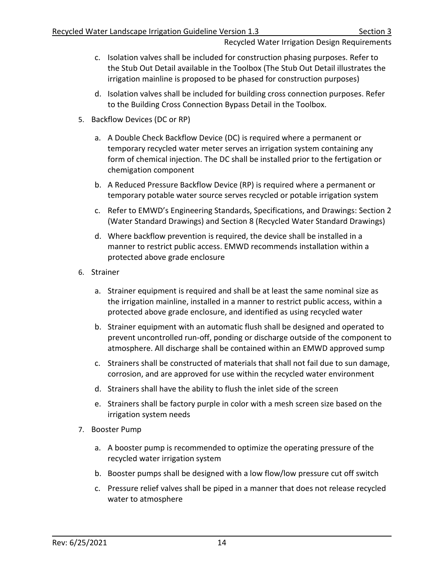- c. Isolation valves shall be included for construction phasing purposes. Refer to the Stub Out Detail available in the Toolbox (The Stub Out Detail illustrates the irrigation mainline is proposed to be phased for construction purposes)
- d. Isolation valves shall be included for building cross connection purposes. Refer to the Building Cross Connection Bypass Detail in the Toolbox.
- 5. Backflow Devices (DC or RP)
	- a. A Double Check Backflow Device (DC) is required where a permanent or temporary recycled water meter serves an irrigation system containing any form of chemical injection. The DC shall be installed prior to the fertigation or chemigation component
	- b. A Reduced Pressure Backflow Device (RP) is required where a permanent or temporary potable water source serves recycled or potable irrigation system
	- c. Refer to EMWD's Engineering Standards, Specifications, and Drawings: Section 2 (Water Standard Drawings) and Section 8 (Recycled Water Standard Drawings)
	- d. Where backflow prevention is required, the device shall be installed in a manner to restrict public access. EMWD recommends installation within a protected above grade enclosure
- 6. Strainer
	- a. Strainer equipment is required and shall be at least the same nominal size as the irrigation mainline, installed in a manner to restrict public access, within a protected above grade enclosure, and identified as using recycled water
	- b. Strainer equipment with an automatic flush shall be designed and operated to prevent uncontrolled run-off, ponding or discharge outside of the component to atmosphere. All discharge shall be contained within an EMWD approved sump
	- c. Strainers shall be constructed of materials that shall not fail due to sun damage, corrosion, and are approved for use within the recycled water environment
	- d. Strainers shall have the ability to flush the inlet side of the screen
	- e. Strainers shall be factory purple in color with a mesh screen size based on the irrigation system needs
- 7. Booster Pump
	- a. A booster pump is recommended to optimize the operating pressure of the recycled water irrigation system
	- b. Booster pumps shall be designed with a low flow/low pressure cut off switch
	- c. Pressure relief valves shall be piped in a manner that does not release recycled water to atmosphere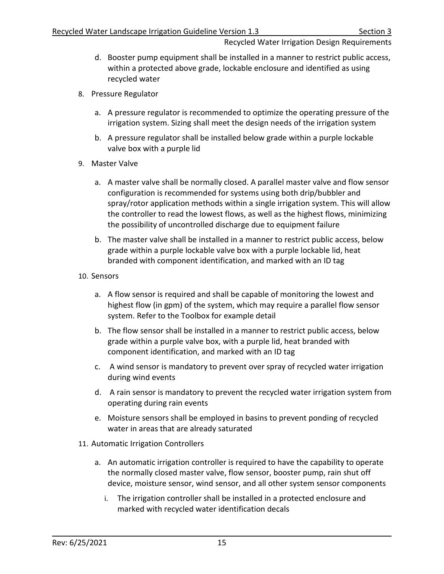- d. Booster pump equipment shall be installed in a manner to restrict public access, within a protected above grade, lockable enclosure and identified as using recycled water
- 8. Pressure Regulator
	- a. A pressure regulator is recommended to optimize the operating pressure of the irrigation system. Sizing shall meet the design needs of the irrigation system
	- b. A pressure regulator shall be installed below grade within a purple lockable valve box with a purple lid
- 9. Master Valve
	- a. A master valve shall be normally closed. A parallel master valve and flow sensor configuration is recommended for systems using both drip/bubbler and spray/rotor application methods within a single irrigation system. This will allow the controller to read the lowest flows, as well as the highest flows, minimizing the possibility of uncontrolled discharge due to equipment failure
	- b. The master valve shall be installed in a manner to restrict public access, below grade within a purple lockable valve box with a purple lockable lid, heat branded with component identification, and marked with an ID tag
- 10. Sensors
	- a. A flow sensor is required and shall be capable of monitoring the lowest and highest flow (in gpm) of the system, which may require a parallel flow sensor system. Refer to the Toolbox for example detail
	- b. The flow sensor shall be installed in a manner to restrict public access, below grade within a purple valve box, with a purple lid, heat branded with component identification, and marked with an ID tag
	- c. A wind sensor is mandatory to prevent over spray of recycled water irrigation during wind events
	- d. A rain sensor is mandatory to prevent the recycled water irrigation system from operating during rain events
	- e. Moisture sensors shall be employed in basins to prevent ponding of recycled water in areas that are already saturated
- 11. Automatic Irrigation Controllers
	- a. An automatic irrigation controller is required to have the capability to operate the normally closed master valve, flow sensor, booster pump, rain shut off device, moisture sensor, wind sensor, and all other system sensor components
		- i. The irrigation controller shall be installed in a protected enclosure and marked with recycled water identification decals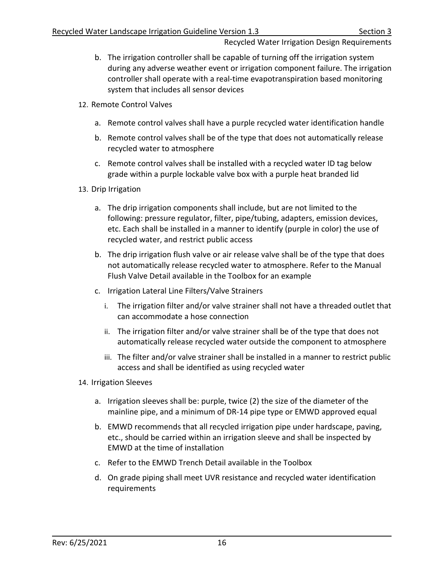- b. The irrigation controller shall be capable of turning off the irrigation system during any adverse weather event or irrigation component failure. The irrigation controller shall operate with a real-time evapotranspiration based monitoring system that includes all sensor devices
- 12. Remote Control Valves
	- a. Remote control valves shall have a purple recycled water identification handle
	- b. Remote control valves shall be of the type that does not automatically release recycled water to atmosphere
	- c. Remote control valves shall be installed with a recycled water ID tag below grade within a purple lockable valve box with a purple heat branded lid
- 13. Drip Irrigation
	- a. The drip irrigation components shall include, but are not limited to the following: pressure regulator, filter, pipe/tubing, adapters, emission devices, etc. Each shall be installed in a manner to identify (purple in color) the use of recycled water, and restrict public access
	- b. The drip irrigation flush valve or air release valve shall be of the type that does not automatically release recycled water to atmosphere. Refer to the Manual Flush Valve Detail available in the Toolbox for an example
	- c. Irrigation Lateral Line Filters/Valve Strainers
		- i. The irrigation filter and/or valve strainer shall not have a threaded outlet that can accommodate a hose connection
		- ii. The irrigation filter and/or valve strainer shall be of the type that does not automatically release recycled water outside the component to atmosphere
		- iii. The filter and/or valve strainer shall be installed in a manner to restrict public access and shall be identified as using recycled water
- 14. Irrigation Sleeves
	- a. Irrigation sleeves shall be: purple, twice (2) the size of the diameter of the mainline pipe, and a minimum of DR-14 pipe type or EMWD approved equal
	- b. EMWD recommends that all recycled irrigation pipe under hardscape, paving, etc., should be carried within an irrigation sleeve and shall be inspected by EMWD at the time of installation
	- c. Refer to the EMWD Trench Detail available in the Toolbox
	- d. On grade piping shall meet UVR resistance and recycled water identification requirements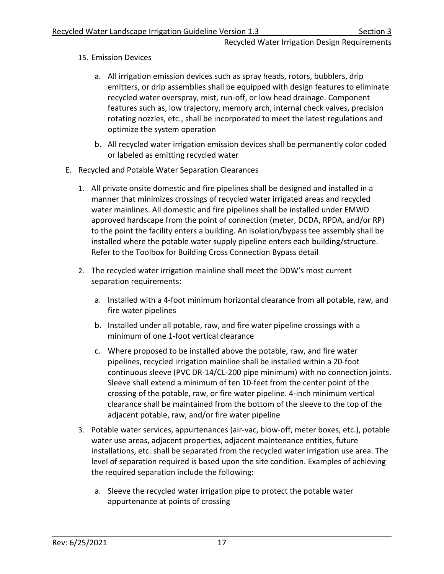- 15. Emission Devices
	- a. All irrigation emission devices such as spray heads, rotors, bubblers, drip emitters, or drip assemblies shall be equipped with design features to eliminate recycled water overspray, mist, run-off, or low head drainage. Component features such as, low trajectory, memory arch, internal check valves, precision rotating nozzles, etc., shall be incorporated to meet the latest regulations and optimize the system operation
	- b. All recycled water irrigation emission devices shall be permanently color coded or labeled as emitting recycled water
- <span id="page-19-0"></span>E. Recycled and Potable Water Separation Clearances
	- 1. All private onsite domestic and fire pipelines shall be designed and installed in a manner that minimizes crossings of recycled water irrigated areas and recycled water mainlines. All domestic and fire pipelines shall be installed under EMWD approved hardscape from the point of connection (meter, DCDA, RPDA, and/or RP) to the point the facility enters a building. An isolation/bypass tee assembly shall be installed where the potable water supply pipeline enters each building/structure. Refer to the Toolbox for Building Cross Connection Bypass detail
	- 2. The recycled water irrigation mainline shall meet the DDW's most current separation requirements:
		- a. Installed with a 4-foot minimum horizontal clearance from all potable, raw, and fire water pipelines
		- b. Installed under all potable, raw, and fire water pipeline crossings with a minimum of one 1-foot vertical clearance
		- c. Where proposed to be installed above the potable, raw, and fire water pipelines, recycled irrigation mainline shall be installed within a 20-foot continuous sleeve (PVC DR-14/CL-200 pipe minimum) with no connection joints. Sleeve shall extend a minimum of ten 10-feet from the center point of the crossing of the potable, raw, or fire water pipeline. 4-inch minimum vertical clearance shall be maintained from the bottom of the sleeve to the top of the adjacent potable, raw, and/or fire water pipeline
	- 3. Potable water services, appurtenances (air-vac, blow-off, meter boxes, etc.), potable water use areas, adjacent properties, adjacent maintenance entities, future installations, etc. shall be separated from the recycled water irrigation use area. The level of separation required is based upon the site condition. Examples of achieving the required separation include the following:
		- a. Sleeve the recycled water irrigation pipe to protect the potable water appurtenance at points of crossing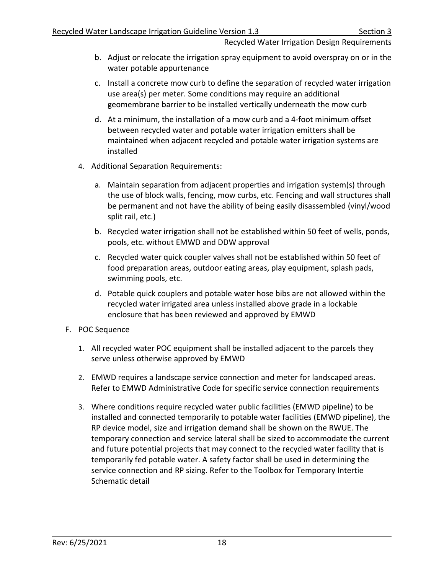- b. Adjust or relocate the irrigation spray equipment to avoid overspray on or in the water potable appurtenance
- c. Install a concrete mow curb to define the separation of recycled water irrigation use area(s) per meter. Some conditions may require an additional geomembrane barrier to be installed vertically underneath the mow curb
- d. At a minimum, the installation of a mow curb and a 4-foot minimum offset between recycled water and potable water irrigation emitters shall be maintained when adjacent recycled and potable water irrigation systems are installed
- 4. Additional Separation Requirements:
	- a. Maintain separation from adjacent properties and irrigation system(s) through the use of block walls, fencing, mow curbs, etc. Fencing and wall structures shall be permanent and not have the ability of being easily disassembled (vinyl/wood split rail, etc.)
	- b. Recycled water irrigation shall not be established within 50 feet of wells, ponds, pools, etc. without EMWD and DDW approval
	- c. Recycled water quick coupler valves shall not be established within 50 feet of food preparation areas, outdoor eating areas, play equipment, splash pads, swimming pools, etc.
	- d. Potable quick couplers and potable water hose bibs are not allowed within the recycled water irrigated area unless installed above grade in a lockable enclosure that has been reviewed and approved by EMWD
- <span id="page-20-0"></span>F. POC Sequence
	- 1. All recycled water POC equipment shall be installed adjacent to the parcels they serve unless otherwise approved by EMWD
	- 2. EMWD requires a landscape service connection and meter for landscaped areas. Refer to EMWD Administrative Code for specific service connection requirements
	- 3. Where conditions require recycled water public facilities (EMWD pipeline) to be installed and connected temporarily to potable water facilities (EMWD pipeline), the RP device model, size and irrigation demand shall be shown on the RWUE. The temporary connection and service lateral shall be sized to accommodate the current and future potential projects that may connect to the recycled water facility that is temporarily fed potable water. A safety factor shall be used in determining the service connection and RP sizing. Refer to the Toolbox for Temporary Intertie Schematic detail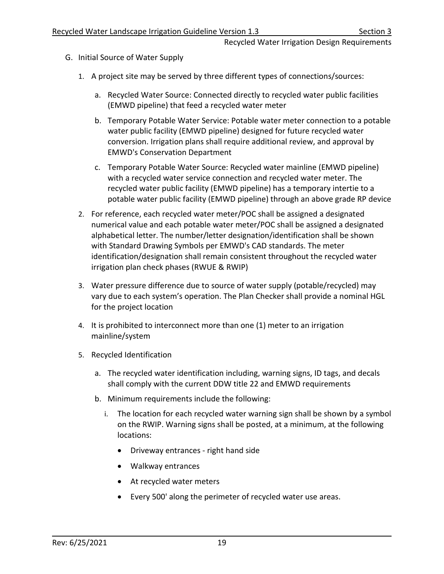- <span id="page-21-0"></span>G. Initial Source of Water Supply
	- 1. A project site may be served by three different types of connections/sources:
		- a. Recycled Water Source: Connected directly to recycled water public facilities (EMWD pipeline) that feed a recycled water meter
		- b. Temporary Potable Water Service: Potable water meter connection to a potable water public facility (EMWD pipeline) designed for future recycled water conversion. Irrigation plans shall require additional review, and approval by EMWD's Conservation Department
		- c. Temporary Potable Water Source: Recycled water mainline (EMWD pipeline) with a recycled water service connection and recycled water meter. The recycled water public facility (EMWD pipeline) has a temporary intertie to a potable water public facility (EMWD pipeline) through an above grade RP device
	- 2. For reference, each recycled water meter/POC shall be assigned a designated numerical value and each potable water meter/POC shall be assigned a designated alphabetical letter. The number/letter designation/identification shall be shown with Standard Drawing Symbols per EMWD's CAD standards. The meter identification/designation shall remain consistent throughout the recycled water irrigation plan check phases (RWUE & RWIP)
	- 3. Water pressure difference due to source of water supply (potable/recycled) may vary due to each system's operation. The Plan Checker shall provide a nominal HGL for the project location
	- 4. It is prohibited to interconnect more than one (1) meter to an irrigation mainline/system
	- 5. Recycled Identification
		- a. The recycled water identification including, warning signs, ID tags, and decals shall comply with the current DDW title 22 and EMWD requirements
		- b. Minimum requirements include the following:
			- i. The location for each recycled water warning sign shall be shown by a symbol on the RWIP. Warning signs shall be posted, at a minimum, at the following locations:
				- Driveway entrances right hand side
				- Walkway entrances
				- At recycled water meters
				- Every 500' along the perimeter of recycled water use areas.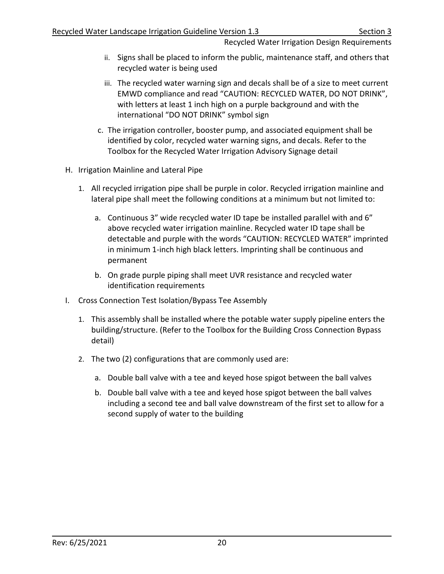- ii. Signs shall be placed to inform the public, maintenance staff, and others that recycled water is being used
- iii. The recycled water warning sign and decals shall be of a size to meet current EMWD compliance and read "CAUTION: RECYCLED WATER, DO NOT DRINK", with letters at least 1 inch high on a purple background and with the international "DO NOT DRINK" symbol sign
- c. The irrigation controller, booster pump, and associated equipment shall be identified by color, recycled water warning signs, and decals. Refer to the Toolbox for the Recycled Water Irrigation Advisory Signage detail
- <span id="page-22-0"></span>H. Irrigation Mainline and Lateral Pipe
	- 1. All recycled irrigation pipe shall be purple in color. Recycled irrigation mainline and lateral pipe shall meet the following conditions at a minimum but not limited to:
		- a. Continuous 3" wide recycled water ID tape be installed parallel with and 6" above recycled water irrigation mainline. Recycled water ID tape shall be detectable and purple with the words "CAUTION: RECYCLED WATER" imprinted in minimum 1-inch high black letters. Imprinting shall be continuous and permanent
		- b. On grade purple piping shall meet UVR resistance and recycled water identification requirements
- <span id="page-22-1"></span>I. Cross Connection Test Isolation/Bypass Tee Assembly
	- 1. This assembly shall be installed where the potable water supply pipeline enters the building/structure. (Refer to the Toolbox for the Building Cross Connection Bypass detail)
	- 2. The two (2) configurations that are commonly used are:
		- a. Double ball valve with a tee and keyed hose spigot between the ball valves
		- b. Double ball valve with a tee and keyed hose spigot between the ball valves including a second tee and ball valve downstream of the first set to allow for a second supply of water to the building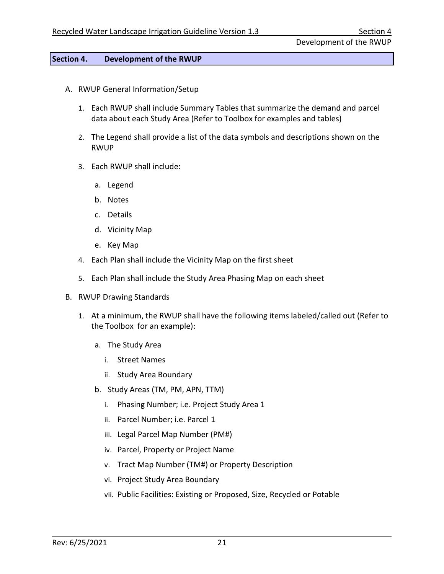### <span id="page-23-0"></span>**Section 4. Development of the RWUP**

- <span id="page-23-1"></span>A. RWUP General Information/Setup
	- 1. Each RWUP shall include Summary Tables that summarize the demand and parcel data about each Study Area (Refer to Toolbox for examples and tables)
	- 2. The Legend shall provide a list of the data symbols and descriptions shown on the RWUP
	- 3. Each RWUP shall include:
		- a. Legend
		- b. Notes
		- c. Details
		- d. Vicinity Map
		- e. Key Map
	- 4. Each Plan shall include the Vicinity Map on the first sheet
	- 5. Each Plan shall include the Study Area Phasing Map on each sheet
- <span id="page-23-2"></span>B. RWUP Drawing Standards
	- 1. At a minimum, the RWUP shall have the following items labeled/called out (Refer to the Toolbox for an example):
		- a. The Study Area
			- i. Street Names
			- ii. Study Area Boundary
		- b. Study Areas (TM, PM, APN, TTM)
			- i. Phasing Number; i.e. Project Study Area 1
			- ii. Parcel Number; i.e. Parcel 1
			- iii. Legal Parcel Map Number (PM#)
			- iv. Parcel, Property or Project Name
			- v. Tract Map Number (TM#) or Property Description
			- vi. Project Study Area Boundary
			- vii. Public Facilities: Existing or Proposed, Size, Recycled or Potable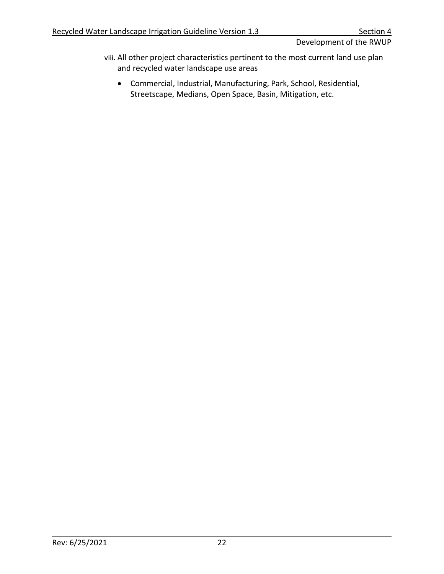Development of the RWUP

- viii. All other project characteristics pertinent to the most current land use plan and recycled water landscape use areas
	- Commercial, Industrial, Manufacturing, Park, School, Residential, Streetscape, Medians, Open Space, Basin, Mitigation, etc.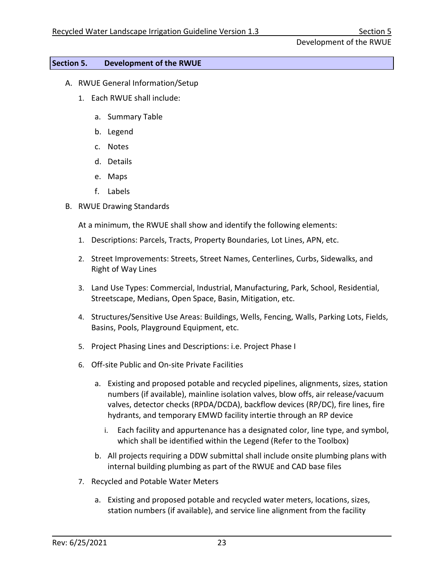# <span id="page-25-0"></span>**Section 5. Development of the RWUE**

- <span id="page-25-1"></span>A. RWUE General Information/Setup
	- 1. Each RWUE shall include:
		- a. Summary Table
		- b. Legend
		- c. Notes
		- d. Details
		- e. Maps
		- f. Labels
- <span id="page-25-2"></span>B. RWUE Drawing Standards

At a minimum, the RWUE shall show and identify the following elements:

- 1. Descriptions: Parcels, Tracts, Property Boundaries, Lot Lines, APN, etc.
- 2. Street Improvements: Streets, Street Names, Centerlines, Curbs, Sidewalks, and Right of Way Lines
- 3. Land Use Types: Commercial, Industrial, Manufacturing, Park, School, Residential, Streetscape, Medians, Open Space, Basin, Mitigation, etc.
- 4. Structures/Sensitive Use Areas: Buildings, Wells, Fencing, Walls, Parking Lots, Fields, Basins, Pools, Playground Equipment, etc.
- 5. Project Phasing Lines and Descriptions: i.e. Project Phase I
- 6. Off-site Public and On-site Private Facilities
	- a. Existing and proposed potable and recycled pipelines, alignments, sizes, station numbers (if available), mainline isolation valves, blow offs, air release/vacuum valves, detector checks (RPDA/DCDA), backflow devices (RP/DC), fire lines, fire hydrants, and temporary EMWD facility intertie through an RP device
		- i. Each facility and appurtenance has a designated color, line type, and symbol, which shall be identified within the Legend (Refer to the Toolbox)
	- b. All projects requiring a DDW submittal shall include onsite plumbing plans with internal building plumbing as part of the RWUE and CAD base files
- 7. Recycled and Potable Water Meters
	- a. Existing and proposed potable and recycled water meters, locations, sizes, station numbers (if available), and service line alignment from the facility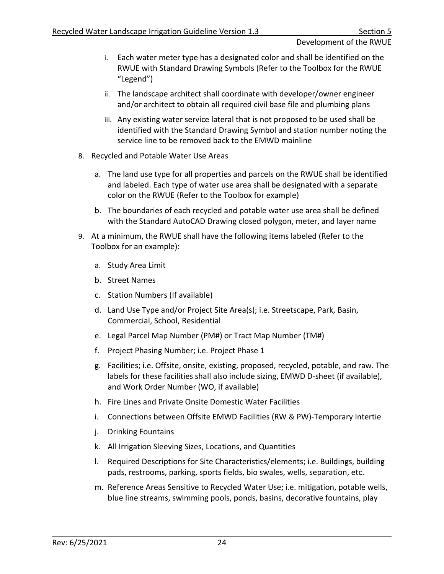## Development of the RWUE

- i. Each water meter type has a designated color and shall be identified on the RWUE with Standard Drawing Symbols (Refer to the Toolbox for the RWUE "Legend")
- ii. The landscape architect shall coordinate with developer/owner engineer and/or architect to obtain all required civil base file and plumbing plans
- iii. Any existing water service lateral that is not proposed to be used shall be identified with the Standard Drawing Symbol and station number noting the service line to be removed back to the EMWD mainline
- 8. Recycled and Potable Water Use Areas
	- a. The land use type for all properties and parcels on the RWUE shall be identified and labeled. Each type of water use area shall be designated with a separate color on the RWUE (Refer to the Toolbox for example)
	- b. The boundaries of each recycled and potable water use area shall be defined with the Standard AutoCAD Drawing closed polygon, meter, and layer name
- 9. At a minimum, the RWUE shall have the following items labeled (Refer to the Toolbox for an example):
	- a. Study Area Limit
	- b. Street Names
	- c. Station Numbers (If available)
	- d. Land Use Type and/or Project Site Area(s); i.e. Streetscape, Park, Basin, Commercial, School, Residential
	- e. Legal Parcel Map Number (PM#) or Tract Map Number (TM#)
	- f. Project Phasing Number; i.e. Project Phase 1
	- g. Facilities; i.e. Offsite, onsite, existing, proposed, recycled, potable, and raw. The labels for these facilities shall also include sizing, EMWD D-sheet (if available), and Work Order Number (WO, if available)
	- h. Fire Lines and Private Onsite Domestic Water Facilities
	- i. Connections between Offsite EMWD Facilities (RW & PW)-Temporary Intertie
	- j. Drinking Fountains
	- k. All Irrigation Sleeving Sizes, Locations, and Quantities
	- l. Required Descriptions for Site Characteristics/elements; i.e. Buildings, building pads, restrooms, parking, sports fields, bio swales, wells, separation, etc.
	- m. Reference Areas Sensitive to Recycled Water Use; i.e. mitigation, potable wells, blue line streams, swimming pools, ponds, basins, decorative fountains, play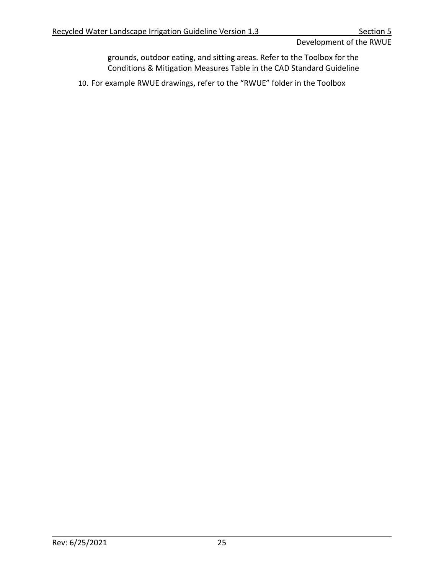Development of the RWUE

grounds, outdoor eating, and sitting areas. Refer to the Toolbox for the Conditions & Mitigation Measures Table in the CAD Standard Guideline

10. For example RWUE drawings, refer to the "RWUE" folder in the Toolbox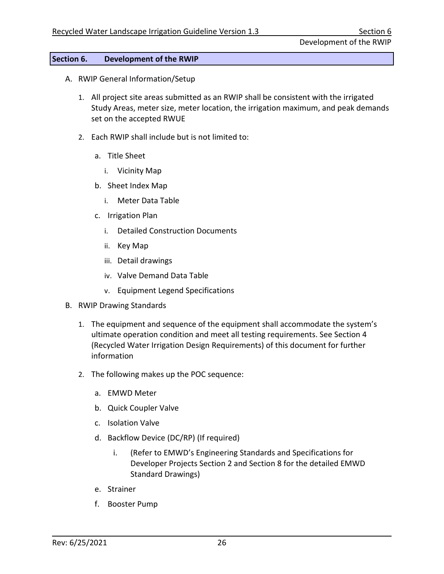Development of the RWIP

# <span id="page-28-0"></span>**Section 6. Development of the RWIP**

- <span id="page-28-1"></span>A. RWIP General Information/Setup
	- 1. All project site areas submitted as an RWIP shall be consistent with the irrigated Study Areas, meter size, meter location, the irrigation maximum, and peak demands set on the accepted RWUE
	- 2. Each RWIP shall include but is not limited to:
		- a. Title Sheet
			- i. Vicinity Map
		- b. Sheet Index Map
			- i. Meter Data Table
		- c. Irrigation Plan
			- i. Detailed Construction Documents
			- ii. Key Map
			- iii. Detail drawings
			- iv. Valve Demand Data Table
			- v. Equipment Legend Specifications
- <span id="page-28-2"></span>B. RWIP Drawing Standards
	- 1. The equipment and sequence of the equipment shall accommodate the system's ultimate operation condition and meet all testing requirements. See Section 4 (Recycled Water Irrigation Design Requirements) of this document for further information
	- 2. The following makes up the POC sequence:
		- a. EMWD Meter
		- b. Quick Coupler Valve
		- c. Isolation Valve
		- d. Backflow Device (DC/RP) (If required)
			- i. (Refer to EMWD's Engineering Standards and Specifications for Developer Projects Section 2 and Section 8 for the detailed EMWD Standard Drawings)
		- e. Strainer
		- f. Booster Pump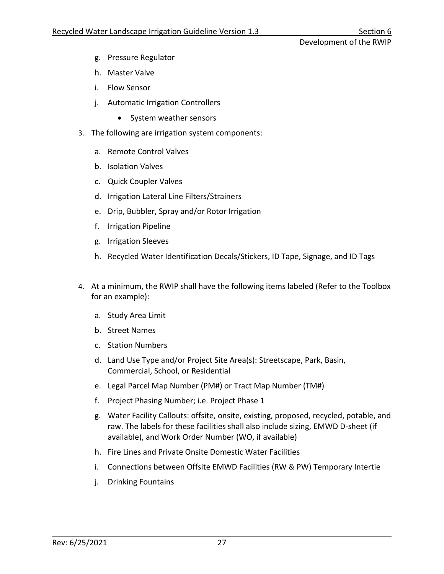Development of the RWIP

- g. Pressure Regulator
- h. Master Valve
- i. Flow Sensor
- j. Automatic Irrigation Controllers
	- System weather sensors
- 3. The following are irrigation system components:
	- a. Remote Control Valves
	- b. Isolation Valves
	- c. Quick Coupler Valves
	- d. Irrigation Lateral Line Filters/Strainers
	- e. Drip, Bubbler, Spray and/or Rotor Irrigation
	- f. Irrigation Pipeline
	- g. Irrigation Sleeves
	- h. Recycled Water Identification Decals/Stickers, ID Tape, Signage, and ID Tags
- 4. At a minimum, the RWIP shall have the following items labeled (Refer to the Toolbox for an example):
	- a. Study Area Limit
	- b. Street Names
	- c. Station Numbers
	- d. Land Use Type and/or Project Site Area(s): Streetscape, Park, Basin, Commercial, School, or Residential
	- e. Legal Parcel Map Number (PM#) or Tract Map Number (TM#)
	- f. Project Phasing Number; i.e. Project Phase 1
	- g. Water Facility Callouts: offsite, onsite, existing, proposed, recycled, potable, and raw. The labels for these facilities shall also include sizing, EMWD D-sheet (if available), and Work Order Number (WO, if available)
	- h. Fire Lines and Private Onsite Domestic Water Facilities
	- i. Connections between Offsite EMWD Facilities (RW & PW) Temporary Intertie
	- j. Drinking Fountains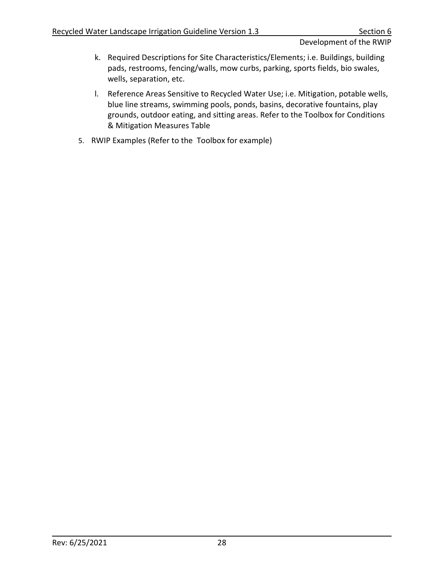Development of the RWIP

- k. Required Descriptions for Site Characteristics/Elements; i.e. Buildings, building pads, restrooms, fencing/walls, mow curbs, parking, sports fields, bio swales, wells, separation, etc.
- l. Reference Areas Sensitive to Recycled Water Use; i.e. Mitigation, potable wells, blue line streams, swimming pools, ponds, basins, decorative fountains, play grounds, outdoor eating, and sitting areas. Refer to the Toolbox for Conditions & Mitigation Measures Table
- 5. RWIP Examples (Refer to the Toolbox for example)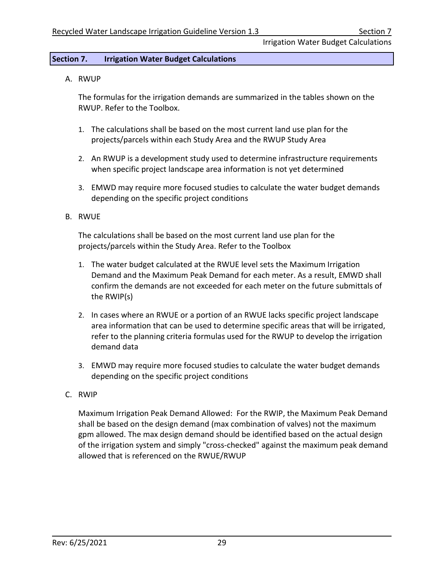Irrigation Water Budget Calculations

## <span id="page-31-0"></span>**Section 7. Irrigation Water Budget Calculations**

<span id="page-31-1"></span>A. RWUP

The formulas for the irrigation demands are summarized in the tables shown on the RWUP. Refer to the Toolbox.

- 1. The calculations shall be based on the most current land use plan for the projects/parcels within each Study Area and the RWUP Study Area
- 2. An RWUP is a development study used to determine infrastructure requirements when specific project landscape area information is not yet determined
- 3. EMWD may require more focused studies to calculate the water budget demands depending on the specific project conditions
- <span id="page-31-2"></span>B. RWUE

The calculations shall be based on the most current land use plan for the projects/parcels within the Study Area. Refer to the Toolbox

- 1. The water budget calculated at the RWUE level sets the Maximum Irrigation Demand and the Maximum Peak Demand for each meter. As a result, EMWD shall confirm the demands are not exceeded for each meter on the future submittals of the RWIP(s)
- 2. In cases where an RWUE or a portion of an RWUE lacks specific project landscape area information that can be used to determine specific areas that will be irrigated, refer to the planning criteria formulas used for the RWUP to develop the irrigation demand data
- 3. EMWD may require more focused studies to calculate the water budget demands depending on the specific project conditions
- <span id="page-31-3"></span>C. RWIP

Maximum Irrigation Peak Demand Allowed: For the RWIP, the Maximum Peak Demand shall be based on the design demand (max combination of valves) not the maximum gpm allowed. The max design demand should be identified based on the actual design of the irrigation system and simply "cross-checked" against the maximum peak demand allowed that is referenced on the RWUE/RWUP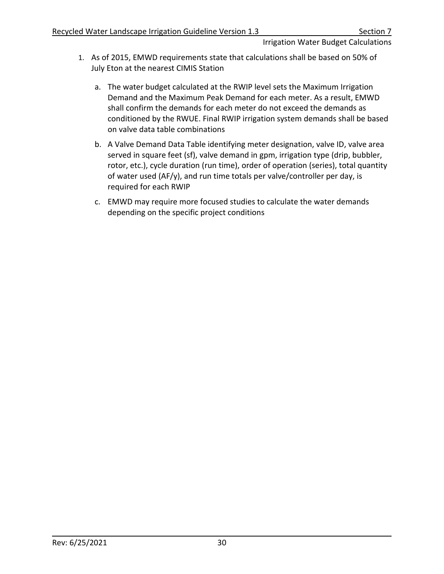# Irrigation Water Budget Calculations

- 1. As of 2015, EMWD requirements state that calculations shall be based on 50% of July Eton at the nearest CIMIS Station
	- a. The water budget calculated at the RWIP level sets the Maximum Irrigation Demand and the Maximum Peak Demand for each meter. As a result, EMWD shall confirm the demands for each meter do not exceed the demands as conditioned by the RWUE. Final RWIP irrigation system demands shall be based on valve data table combinations
	- b. A Valve Demand Data Table identifying meter designation, valve ID, valve area served in square feet (sf), valve demand in gpm, irrigation type (drip, bubbler, rotor, etc.), cycle duration (run time), order of operation (series), total quantity of water used (AF/y), and run time totals per valve/controller per day, is required for each RWIP
	- c. EMWD may require more focused studies to calculate the water demands depending on the specific project conditions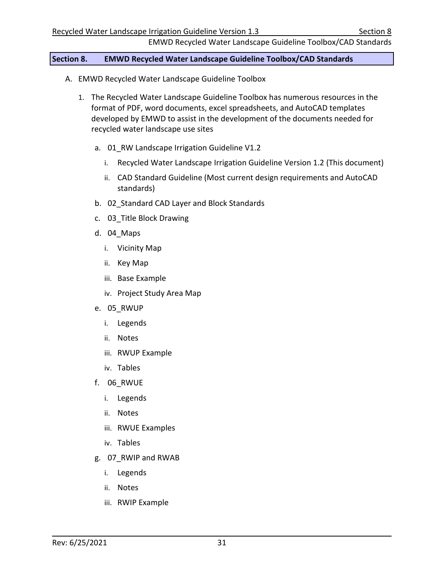EMWD Recycled Water Landscape Guideline Toolbox/CAD Standards

#### <span id="page-33-0"></span>**Section 8. EMWD Recycled Water Landscape Guideline Toolbox/CAD Standards**

- <span id="page-33-1"></span>A. EMWD Recycled Water Landscape Guideline Toolbox
	- 1. The Recycled Water Landscape Guideline Toolbox has numerous resources in the format of PDF, word documents, excel spreadsheets, and AutoCAD templates developed by EMWD to assist in the development of the documents needed for recycled water landscape use sites
		- a. 01 RW Landscape Irrigation Guideline V1.2
			- i. Recycled Water Landscape Irrigation Guideline Version 1.2 (This document)
			- ii. CAD Standard Guideline (Most current design requirements and AutoCAD standards)
		- b. 02 Standard CAD Layer and Block Standards
		- c. 03\_Title Block Drawing
		- d. 04\_Maps
			- i. Vicinity Map
			- ii. Key Map
			- iii. Base Example
			- iv. Project Study Area Map
		- e. 05\_RWUP
			- i. Legends
			- ii. Notes
			- iii. RWUP Example
			- iv. Tables
		- f. 06\_RWUE
			- i. Legends
			- ii. Notes
			- iii. RWUE Examples
			- iv. Tables
		- g. 07\_RWIP and RWAB
			- i. Legends
			- ii. Notes
			- iii. RWIP Example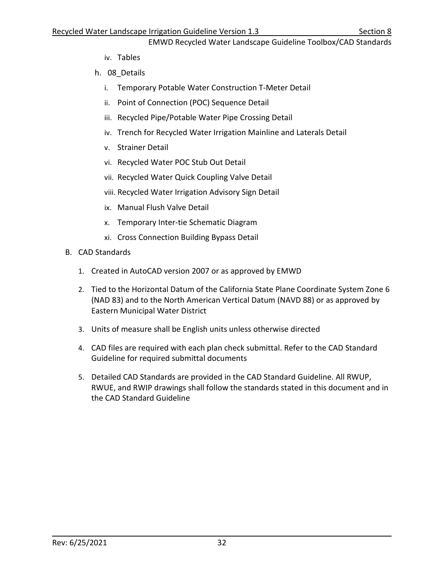EMWD Recycled Water Landscape Guideline Toolbox/CAD Standards

- iv. Tables
- h. 08\_Details
	- i. Temporary Potable Water Construction T-Meter Detail
	- ii. Point of Connection (POC) Sequence Detail
	- iii. Recycled Pipe/Potable Water Pipe Crossing Detail
	- iv. Trench for Recycled Water Irrigation Mainline and Laterals Detail
	- v. Strainer Detail
	- vi. Recycled Water POC Stub Out Detail
	- vii. Recycled Water Quick Coupling Valve Detail
	- viii. Recycled Water Irrigation Advisory Sign Detail
	- ix. Manual Flush Valve Detail
	- x. Temporary Inter-tie Schematic Diagram
	- xi. Cross Connection Building Bypass Detail
- <span id="page-34-0"></span>B. CAD Standards
	- 1. Created in AutoCAD version 2007 or as approved by EMWD
	- 2. Tied to the Horizontal Datum of the California State Plane Coordinate System Zone 6 (NAD 83) and to the North American Vertical Datum (NAVD 88) or as approved by Eastern Municipal Water District
	- 3. Units of measure shall be English units unless otherwise directed
	- 4. CAD files are required with each plan check submittal. Refer to the CAD Standard Guideline for required submittal documents
	- 5. Detailed CAD Standards are provided in the CAD Standard Guideline. All RWUP, RWUE, and RWIP drawings shall follow the standards stated in this document and in the CAD Standard Guideline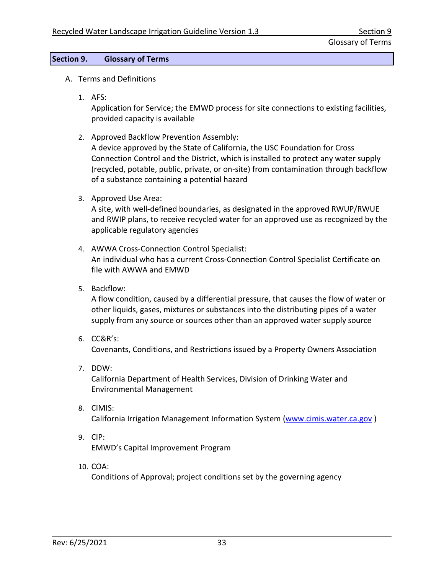## <span id="page-35-0"></span>**Section 9. Glossary of Terms**

- <span id="page-35-1"></span>A. Terms and Definitions
	- 1. AFS:

Application for Service; the EMWD process for site connections to existing facilities, provided capacity is available

- 2. Approved Backflow Prevention Assembly: A device approved by the State of California, the USC Foundation for Cross Connection Control and the District, which is installed to protect any water supply (recycled, potable, public, private, or on-site) from contamination through backflow of a substance containing a potential hazard
- 3. Approved Use Area:

A site, with well-defined boundaries, as designated in the approved RWUP/RWUE and RWIP plans, to receive recycled water for an approved use as recognized by the applicable regulatory agencies

- 4. AWWA Cross-Connection Control Specialist: An individual who has a current Cross-Connection Control Specialist Certificate on file with AWWA and EMWD
- 5. Backflow:

A flow condition, caused by a differential pressure, that causes the flow of water or other liquids, gases, mixtures or substances into the distributing pipes of a water supply from any source or sources other than an approved water supply source

6. CC&R's:

Covenants, Conditions, and Restrictions issued by a Property Owners Association

7. DDW:

California Department of Health Services, Division of Drinking Water and Environmental Management

- 8. CIMIS: California Irrigation Management Information System [\(www.cimis.water.ca.gov](http://www.cimis.water.ca.gov/) )
- 9. CIP:

EMWD's Capital Improvement Program

10. COA:

Conditions of Approval; project conditions set by the governing agency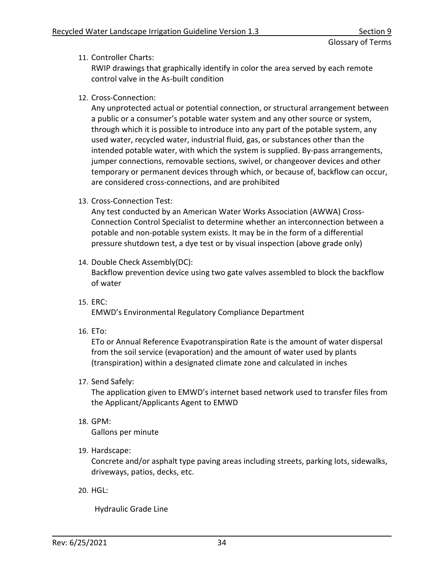11. Controller Charts:

RWIP drawings that graphically identify in color the area served by each remote control valve in the As-built condition

12. Cross-Connection:

Any unprotected actual or potential connection, or structural arrangement between a public or a consumer's potable water system and any other source or system, through which it is possible to introduce into any part of the potable system, any used water, recycled water, industrial fluid, gas, or substances other than the intended potable water, with which the system is supplied. By-pass arrangements, jumper connections, removable sections, swivel, or changeover devices and other temporary or permanent devices through which, or because of, backflow can occur, are considered cross-connections, and are prohibited

13. Cross-Connection Test:

Any test conducted by an American Water Works Association (AWWA) Cross-Connection Control Specialist to determine whether an interconnection between a potable and non-potable system exists. It may be in the form of a differential pressure shutdown test, a dye test or by visual inspection (above grade only)

- 14. Double Check Assembly(DC): Backflow prevention device using two gate valves assembled to block the backflow of water
- 15. ERC: EMWD's Environmental Regulatory Compliance Department
- 16. ETo:

ETo or Annual Reference Evapotranspiration Rate is the amount of water dispersal from the soil service (evaporation) and the amount of water used by plants (transpiration) within a designated climate zone and calculated in inches

17. Send Safely:

The application given to EMWD's internet based network used to transfer files from the Applicant/Applicants Agent to EMWD

18. GPM:

Gallons per minute

19. Hardscape:

Concrete and/or asphalt type paving areas including streets, parking lots, sidewalks, driveways, patios, decks, etc.

20. HGL:

Hydraulic Grade Line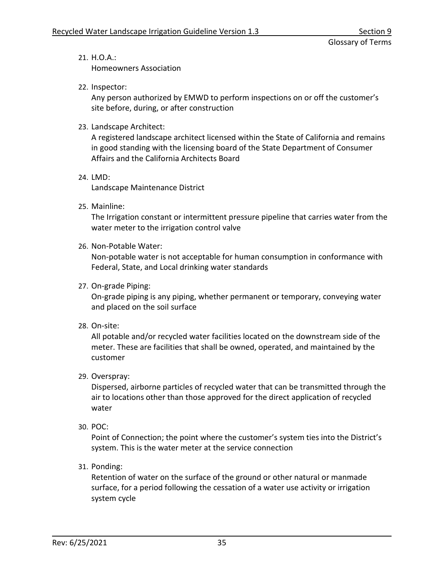21. H.O.A.:

Homeowners Association

22. Inspector:

Any person authorized by EMWD to perform inspections on or off the customer's site before, during, or after construction

23. Landscape Architect:

A registered landscape architect licensed within the State of California and remains in good standing with the licensing board of the State Department of Consumer Affairs and the California Architects Board

24. LMD:

Landscape Maintenance District

25. Mainline:

The Irrigation constant or intermittent pressure pipeline that carries water from the water meter to the irrigation control valve

26. Non-Potable Water:

Non-potable water is not acceptable for human consumption in conformance with Federal, State, and Local drinking water standards

27. On-grade Piping:

On-grade piping is any piping, whether permanent or temporary, conveying water and placed on the soil surface

28. On-site:

All potable and/or recycled water facilities located on the downstream side of the meter. These are facilities that shall be owned, operated, and maintained by the customer

29. Overspray:

Dispersed, airborne particles of recycled water that can be transmitted through the air to locations other than those approved for the direct application of recycled water

30. POC:

Point of Connection; the point where the customer's system ties into the District's system. This is the water meter at the service connection

31. Ponding:

Retention of water on the surface of the ground or other natural or manmade surface, for a period following the cessation of a water use activity or irrigation system cycle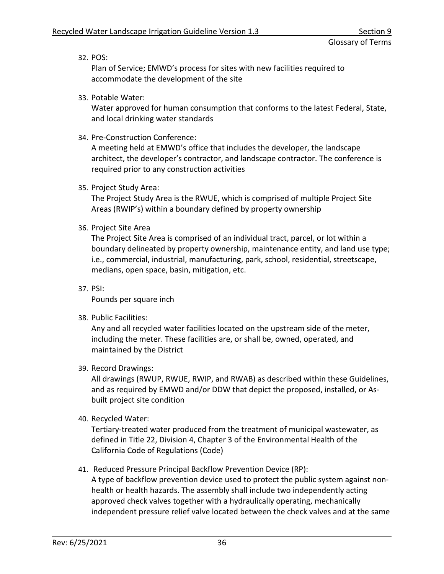32. POS:

Plan of Service; EMWD's process for sites with new facilities required to accommodate the development of the site

33. Potable Water:

Water approved for human consumption that conforms to the latest Federal, State, and local drinking water standards

34. Pre-Construction Conference:

A meeting held at EMWD's office that includes the developer, the landscape architect, the developer's contractor, and landscape contractor. The conference is required prior to any construction activities

35. Project Study Area:

The Project Study Area is the RWUE, which is comprised of multiple Project Site Areas (RWIP's) within a boundary defined by property ownership

36. Project Site Area

The Project Site Area is comprised of an individual tract, parcel, or lot within a boundary delineated by property ownership, maintenance entity, and land use type; i.e., commercial, industrial, manufacturing, park, school, residential, streetscape, medians, open space, basin, mitigation, etc.

37. PSI:

Pounds per square inch

38. Public Facilities:

Any and all recycled water facilities located on the upstream side of the meter, including the meter. These facilities are, or shall be, owned, operated, and maintained by the District

39. Record Drawings:

All drawings (RWUP, RWUE, RWIP, and RWAB) as described within these Guidelines, and as required by EMWD and/or DDW that depict the proposed, installed, or Asbuilt project site condition

40. Recycled Water:

Tertiary-treated water produced from the treatment of municipal wastewater, as defined in Title 22, Division 4, Chapter 3 of the Environmental Health of the California Code of Regulations (Code)

41. Reduced Pressure Principal Backflow Prevention Device (RP):

A type of backflow prevention device used to protect the public system against nonhealth or health hazards. The assembly shall include two independently acting approved check valves together with a hydraulically operating, mechanically independent pressure relief valve located between the check valves and at the same